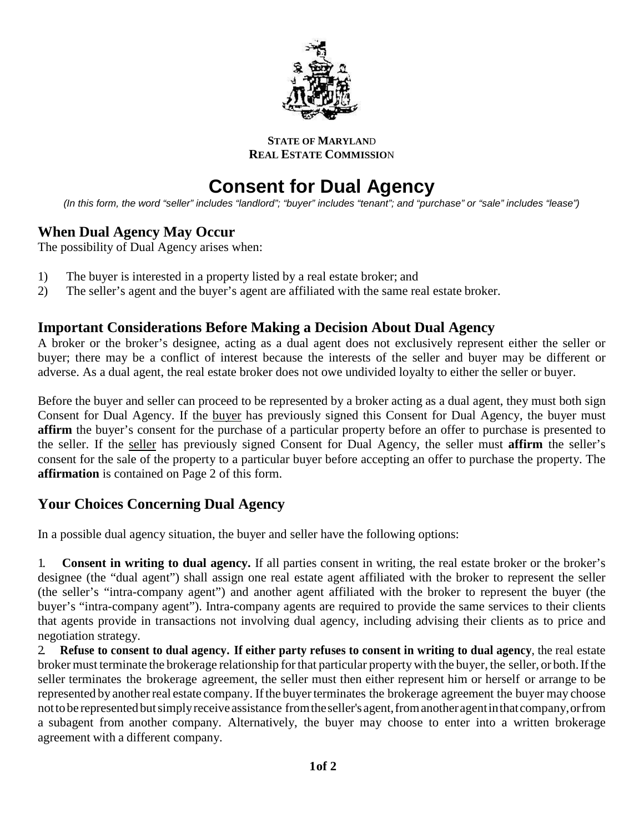

**STATE OF MARYLAN**D **REAL ESTATE COMMISSIO**N

# **Consent for Dual Agency**

*(In this form, the word "seller" includes "landlord"; "buyer" includes "tenant"; and "purchase" or "sale" includes "lease")*

## **When Dual Agency May Occur**

The possibility of Dual Agency arises when:

- 1) The buyer is interested in a property listed by a real estate broker; and
- 2) The seller's agent and the buyer's agent are affiliated with the same real estate broker.

## **Important Considerations Before Making a Decision About Dual Agency**

A broker or the broker's designee, acting as a dual agent does not exclusively represent either the seller or buyer; there may be a conflict of interest because the interests of the seller and buyer may be different or adverse. As a dual agent, the real estate broker does not owe undivided loyalty to either the seller or buyer.

Before the buyer and seller can proceed to be represented by a broker acting as a dual agent, they must both sign Consent for Dual Agency. If the buyer has previously signed this Consent for Dual Agency, the buyer must **affirm** the buyer's consent for the purchase of a particular property before an offer to purchase is presented to the seller. If the seller has previously signed Consent for Dual Agency, the seller must **affirm** the seller's consent for the sale of the property to a particular buyer before accepting an offer to purchase the property. The **affirmation** is contained on Page 2 of this form.

## **Your Choices Concerning Dual Agency**

In a possible dual agency situation, the buyer and seller have the following options:

1. **Consent in writing to dual agency.** If all parties consent in writing, the real estate broker or the broker's designee (the "dual agent") shall assign one real estate agent affiliated with the broker to represent the seller (the seller's "intra-company agent") and another agent affiliated with the broker to represent the buyer (the buyer's "intra-company agent"). Intra-company agents are required to provide the same services to their clients that agents provide in transactions not involving dual agency, including advising their clients as to price and negotiation strategy.

2 Refuse to consent to dual agency. If either party refuses to consent in writing to dual agency, the real estate broker must terminate the brokerage relationship for that particular property with the buyer, the seller, or both. If the seller terminates the brokerage agreement, the seller must then either represent him or herself or arrange to be represented by another real estate company. If the buyer terminates the brokerage agreement the buyer may choose nottobe representedbutsimplyreceive assistance fromtheseller'sagent,fromanotheragentinthatcompany,orfrom a subagent from another company. Alternatively, the buyer may choose to enter into a written brokerage agreement with a different company.